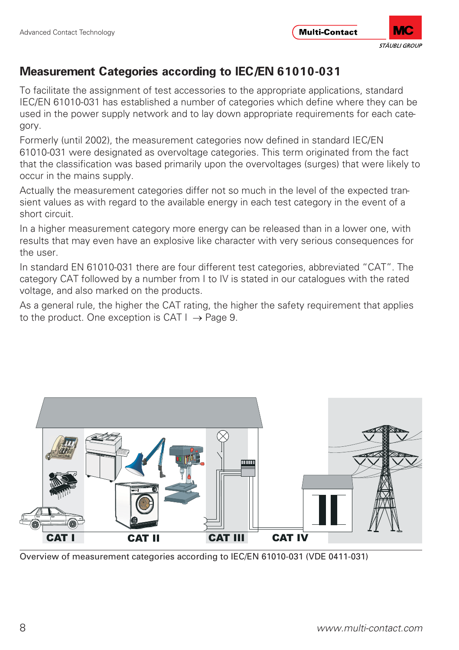

To facilitate the assignment of test accessories to the appropriate applications, standard IEC/EN 61010-031 has established a number of categories which define where they can be used in the power supply network and to lay down appropriate requirements for each category.

Formerly (until 2002), the measurement categories now defined in standard IEC/EN 61010-031 were designated as overvoltage categories. This term originated from the fact that the classification was based primarily upon the overvoltages (surges) that were likely to occur in the mains supply.

Actually the measurement categories differ not so much in the level of the expected transient values as with regard to the available energy in each test category in the event of a short circuit.

In a higher measurement category more energy can be released than in a lower one, with results that may even have an explosive like character with very serious consequences for the user.

In standard EN 61010-031 there are four different test categories, abbreviated "CAT". The category CAT followed by a number from I to IV is stated in our catalogues with the rated voltage, and also marked on the products.

As a general rule, the higher the CAT rating, the higher the safety requirement that applies to the product. One exception is CAT  $I \rightarrow$  Page 9.



Overview of measurement categories according to IEC/EN 61010-031 (VDE 0411-031)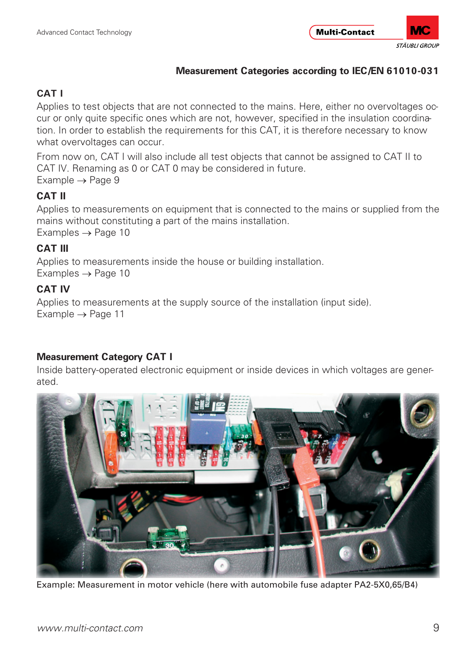# **CAT I**

Applies to test objects that are not connected to the mains. Here, either no overvoltages occur or only quite specific ones which are not, however, specified in the insulation coordination. In order to establish the requirements for this CAT, it is therefore necessary to know what overvoltages can occur.

From now on, CAT I will also include all test objects that cannot be assigned to CAT II to CAT IV. Renaming as 0 or CAT 0 may be considered in future. Example → Page 9

# **CAT II**

Applies to measurements on equipment that is connected to the mains or supplied from the mains without constituting a part of the mains installation. Examples → Page 10

## **CAT III**

Applies to measurements inside the house or building installation.  $Examples \rightarrow Page 10$ 

## **CAT IV**

Applies to measurements at the supply source of the installation (input side). Example → Page 11

#### **Measurement Category CAT I**

Inside battery-operated electronic equipment or inside devices in which voltages are generated.



Example: Measurement in motor vehicle (here with automobile fuse adapter PA2-5X0,65/B4)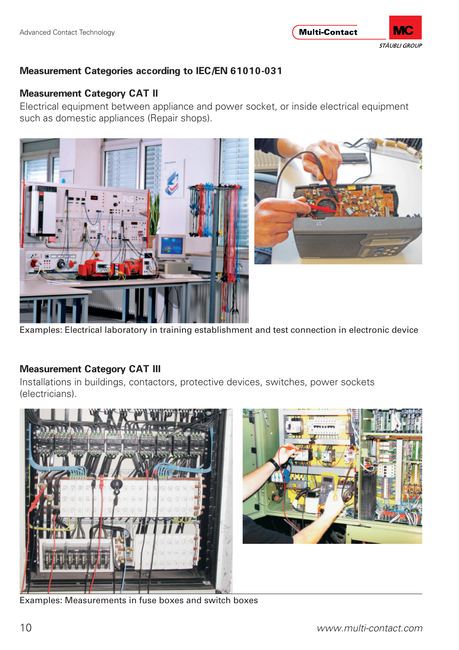

#### **Measurement Category CAT II**

Electrical equipment between appliance and power socket, or inside electrical equipment such as domestic appliances (Repair shops).



Examples: Electrical laboratory in training establishment and test connection in electronic device

#### **Measurement Category CAT III**

Installations in buildings, contactors, protective devices, switches, power sockets (electricians).



Examples: Measurements in fuse boxes and switch boxes